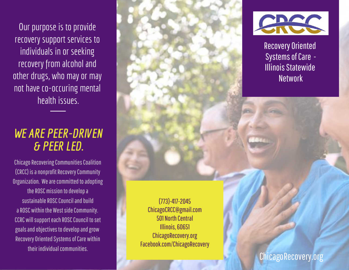Our purpose is to provide recovery support services to individuals in or seeking recovery from alcohol and other drugs, who may or may not have co-occuring mental health issues.

## *WE ARE PEER-DRIVEN & PEER LED.*

Chicago Recovering Communities Coalition (CRCC) is a nonprofit Recovery Community Organization. We are committed to adopting the ROSC mission to develop a sustainable ROSC Council and build a ROSC within the West side Community. CCRC will support each ROSC Council to set goals and objectives to develop and grow Recovery Oriented Systems of Care within their individual communities.



Recovery Oriented Systems of Care - Illinois Statewide **Network** 

Illinois, 60651 ChicagoRecovery.org Facebook.com/ChicagoRecovery

ChicagoRecovery.org